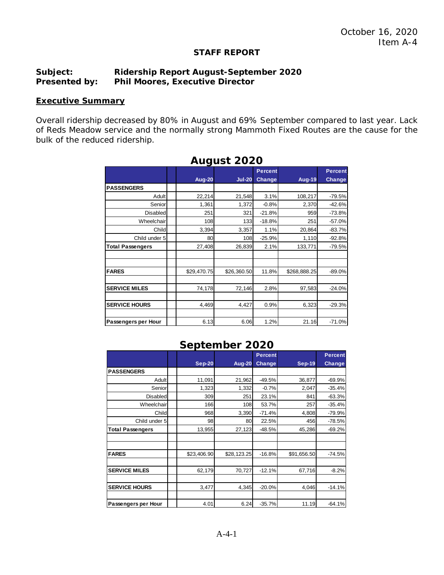#### **STAFF REPORT**

### **Subject: Ridership Report August-September 2020 Presented by: Phil Moores, Executive Director**

#### **Executive Summary**

Overall ridership decreased by 80% in August and 69% September compared to last year. Lack of Reds Meadow service and the normally strong Mammoth Fixed Routes are the cause for the bulk of the reduced ridership.

| Auyust ZUZU             |               |             |                |               |                |  |  |
|-------------------------|---------------|-------------|----------------|---------------|----------------|--|--|
|                         |               |             | <b>Percent</b> |               | <b>Percent</b> |  |  |
|                         | <b>Aug-20</b> | $Jul-20$    | <b>Change</b>  | <b>Aug-19</b> | Change         |  |  |
| <b>PASSENGERS</b>       |               |             |                |               |                |  |  |
| Adult                   | 22,214        | 21,548      | 3.1%           | 108,217       | $-79.5%$       |  |  |
| Senior                  | 1,361         | 1,372       | $-0.8%$        | 2,370         | $-42.6%$       |  |  |
| Disabled                | 251           | 321         | $-21.8%$       | 959           | $-73.8%$       |  |  |
| Wheelchair              | 108           | 133         | $-18.8%$       | 251           | $-57.0%$       |  |  |
| Childl                  | 3,394         | 3,357       | 1.1%           | 20,864        | $-83.7%$       |  |  |
| Child under 5           | 80            | 108         | $-25.9%$       | 1,110         | $-92.8%$       |  |  |
| <b>Total Passengers</b> | 27,408        | 26,839      | 2.1%           | 133,771       | $-79.5%$       |  |  |
|                         |               |             |                |               |                |  |  |
| <b>FARES</b>            | \$29,470.75   | \$26,360.50 | 11.8%          | \$268,888.25  | $-89.0%$       |  |  |
| <b>SERVICE MILES</b>    | 74,178        | 72,146      | 2.8%           | 97,583        | $-24.0%$       |  |  |
| <b>SERVICE HOURS</b>    | 4,469         | 4,427       | 0.9%           | 6,323         | $-29.3%$       |  |  |
| Passengers per Hour     | 6.13          | 6.06        | 1.2%           | 21.16         | $-71.0%$       |  |  |

## **August 2020**

# **September 2020**

|                         |               |               | <b>Percent</b> |               | <b>Percent</b> |
|-------------------------|---------------|---------------|----------------|---------------|----------------|
|                         | <b>Sep-20</b> | <b>Aug-20</b> | Change         | <b>Sep-19</b> | <b>Change</b>  |
| <b>PASSENGERS</b>       |               |               |                |               |                |
| Adult                   | 11,091        | 21,962        | $-49.5%$       | 36,877        | $-69.9%$       |
| Senior                  | 1,323         | 1,332         | $-0.7%$        | 2,047         | $-35.4%$       |
| Disabled                | 309           | 251           | 23.1%          | 841           | $-63.3%$       |
| Wheelchair              | 166           | 108           | 53.7%          | 257           | $-35.4%$       |
| Child                   | 968           | 3,390         | $-71.4%$       | 4,808         | $-79.9%$       |
| Child under 5           | 98            | 80            | 22.5%          | 456           | $-78.5%$       |
| <b>Total Passengers</b> | 13,955        | 27,123        | $-48.5%$       | 45,286        | $-69.2%$       |
|                         |               |               |                |               |                |
|                         |               |               |                |               |                |
| <b>FARES</b>            | \$23,406.90   | \$28,123.25   | $-16.8%$       | \$91,656.50   | $-74.5%$       |
|                         |               |               |                |               |                |
| <b>SERVICE MILES</b>    | 62,179        | 70,727        | $-12.1%$       | 67,716        | $-8.2%$        |
|                         |               |               |                |               |                |
| <b>SERVICE HOURS</b>    | 3,477         | 4,345         | $-20.0%$       | 4,046         | $-14.1%$       |
|                         |               |               |                |               |                |
| Passengers per Hour     | 4.01          | 6.24          | $-35.7%$       | 11.19         | $-64.1%$       |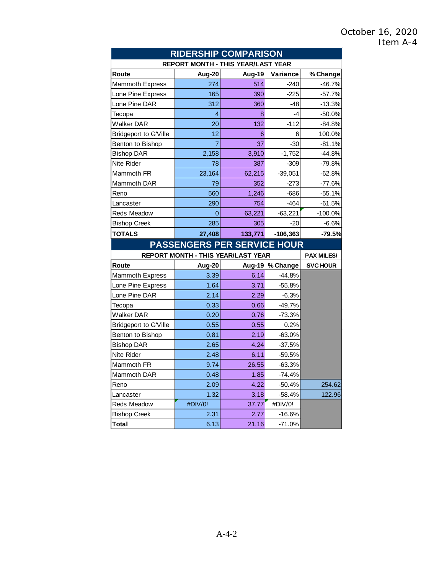| <b>RIDERSHIP COMPARISON</b>               |                                           |         |            |                   |  |  |
|-------------------------------------------|-------------------------------------------|---------|------------|-------------------|--|--|
| <b>REPORT MONTH - THIS YEAR/LAST YEAR</b> |                                           |         |            |                   |  |  |
| Route                                     | Aug-20                                    | Aug-19  | Variance   | % Change          |  |  |
| <b>Mammoth Express</b>                    | 274                                       | 514     | $-240$     | $-46.7%$          |  |  |
| Lone Pine Express                         | 165                                       | 390     | $-225$     | $-57.7%$          |  |  |
| Lone Pine DAR                             | 312                                       | 360     | $-48$      | $-13.3%$          |  |  |
| Tecopa                                    | 4                                         | 8       | -4         | $-50.0%$          |  |  |
| <b>Walker DAR</b>                         | 20                                        | 132     | $-112$     | $-84.8%$          |  |  |
| <b>Bridgeport to G'Ville</b>              | 12                                        | 6       | 6          | 100.0%            |  |  |
| Benton to Bishop                          | 7                                         | 37      | $-30$      | $-81.1%$          |  |  |
| <b>Bishop DAR</b>                         | 2,158                                     | 3,910   | $-1,752$   | $-44.8%$          |  |  |
| <b>Nite Rider</b>                         | 78                                        | 387     | $-309$     | $-79.8%$          |  |  |
| Mammoth FR                                | 23,164                                    | 62,215  | $-39,051$  | $-62.8%$          |  |  |
| Mammoth DAR                               | 79                                        | 352     | $-273$     | $-77.6%$          |  |  |
| Reno                                      | 560                                       | 1,246   | $-686$     | $-55.1%$          |  |  |
| Lancaster                                 | 290                                       | 754     | $-464$     | $-61.5%$          |  |  |
| <b>Reds Meadow</b>                        | 0                                         | 63,221  | $-63,221$  | $-100.0\%$        |  |  |
| <b>Bishop Creek</b>                       | 285                                       | 305     | $-20$      | $-6.6%$           |  |  |
| <b>TOTALS</b>                             | 27,408                                    | 133,771 | $-106,363$ | $-79.5%$          |  |  |
|                                           | <b>PASSENGERS PER SERVICE HOUR</b>        |         |            |                   |  |  |
|                                           | <b>REPORT MONTH - THIS YEAR/LAST YEAR</b> |         |            | <b>PAX MILES/</b> |  |  |
| Route                                     | Aug-20                                    | Aug-19  | % Change   | <b>SVC HOUR</b>   |  |  |
| <b>Mammoth Express</b>                    | 3.39                                      | 6.14    | $-44.8%$   |                   |  |  |
| Lone Pine Express                         | 1.64                                      | 3.71    |            |                   |  |  |
| Lone Pine DAR                             |                                           |         | $-55.8%$   |                   |  |  |
|                                           | 2.14                                      | 2.29    | $-6.3%$    |                   |  |  |
| Tecopa                                    | 0.33                                      | 0.66    | $-49.7%$   |                   |  |  |
| <b>Walker DAR</b>                         | 0.20                                      | 0.76    | $-73.3%$   |                   |  |  |
| <b>Bridgeport to G'Ville</b>              | 0.55                                      | 0.55    | 0.2%       |                   |  |  |
| Benton to Bishop                          | 0.81                                      | 2.19    | $-63.0%$   |                   |  |  |
| <b>Bishop DAR</b>                         | 2.65                                      | 4.24    | $-37.5%$   |                   |  |  |
| <b>Nite Rider</b>                         | 2.48                                      | 6.11    | $-59.5%$   |                   |  |  |
| Mammoth FR                                | 9.74                                      | 26.55   | $-63.3%$   |                   |  |  |
| Mammoth DAR                               | 0.48                                      | 1.85    | -74.4%     |                   |  |  |
| Reno                                      | 2.09                                      | 4.22    | $-50.4%$   | 254.62            |  |  |
| Lancaster                                 | 1.32                                      | 3.18    | $-58.4%$   | 122.96            |  |  |
| Reds Meadow                               | #DIV/0!                                   | 37.77   | #DIV/0!    |                   |  |  |
| <b>Bishop Creek</b>                       | 2.31                                      | 2.77    | $-16.6%$   |                   |  |  |